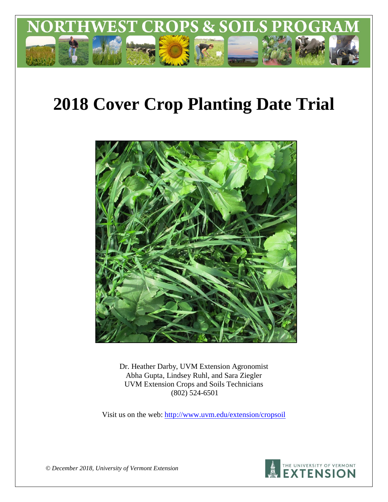

# **2018 Cover Crop Planting Date Trial**



Dr. Heather Darby, UVM Extension Agronomist Abha Gupta, Lindsey Ruhl, and Sara Ziegler UVM Extension Crops and Soils Technicians (802) 524-6501

Visit us on the web:<http://www.uvm.edu/extension/cropsoil>



*© December 2018, University of Vermont Extension*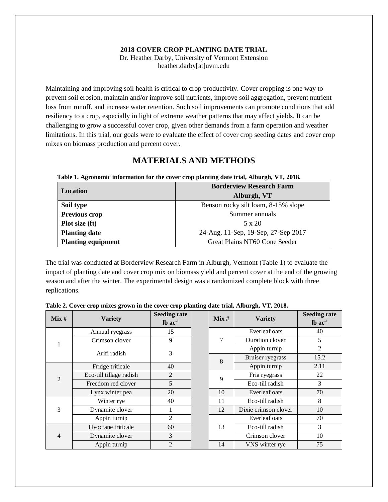## **2018 COVER CROP PLANTING DATE TRIAL**

Dr. Heather Darby, University of Vermont Extension heather.darby[at]uvm.edu

Maintaining and improving soil health is critical to crop productivity. Cover cropping is one way to prevent soil erosion, maintain and/or improve soil nutrients, improve soil aggregation, prevent nutrient loss from runoff, and increase water retention. Such soil improvements can promote conditions that add resiliency to a crop, especially in light of extreme weather patterns that may affect yields. It can be challenging to grow a successful cover crop, given other demands from a farm operation and weather limitations. In this trial, our goals were to evaluate the effect of cover crop seeding dates and cover crop mixes on biomass production and percent cover.

# **MATERIALS AND METHODS**

### **Table 1. Agronomic information for the cover crop planting date trial, Alburgh, VT, 2018.**

| Location                  | <b>Borderview Research Farm</b>     |
|---------------------------|-------------------------------------|
|                           | Alburgh, VT                         |
| Soil type                 | Benson rocky silt loam, 8-15% slope |
| <b>Previous crop</b>      | Summer annuals                      |
| Plot size (ft)            | $5 \times 20$                       |
| <b>Planting date</b>      | 24-Aug, 11-Sep, 19-Sep, 27-Sep 2017 |
| <b>Planting equipment</b> | Great Plains NT60 Cone Seeder       |

The trial was conducted at Borderview Research Farm in Alburgh, Vermont (Table 1) to evaluate the impact of planting date and cover crop mix on biomass yield and percent cover at the end of the growing season and after the winter. The experimental design was a randomized complete block with three replications.

| Mix #           | <b>Variety</b>          | <b>Seeding rate</b><br>$lb$ ac $^{-1}$ |  | Mix # | <b>Variety</b>       | <b>Seeding rate</b><br>$lb$ ac $1$ |
|-----------------|-------------------------|----------------------------------------|--|-------|----------------------|------------------------------------|
| Annual ryegrass |                         | 15                                     |  |       | Everleaf oats        | 40                                 |
|                 | Crimson clover          | 9                                      |  | 7     | Duration clover      | 5                                  |
|                 | Arifi radish            | 3                                      |  |       | Appin turnip         | $\overline{2}$                     |
|                 |                         |                                        |  | 8     | Bruiser ryegrass     | 15.2                               |
|                 | Fridge triticale        | 40                                     |  |       | Appin turnip         | 2.11                               |
| $\mathfrak{D}$  | Eco-till tillage radish | 2                                      |  | 9     | Fria ryegrass        | 22                                 |
|                 | Freedom red clover      | 5                                      |  |       | Eco-till radish      | 3                                  |
|                 | Lynx winter pea         | 20                                     |  | 10    | Everleaf oats        | 70                                 |
|                 | Winter rye              | 40                                     |  | 11    | Eco-till radish      | 8                                  |
| 3               | Dynamite clover         |                                        |  | 12    | Dixie crimson clover | 10                                 |
|                 | Appin turnip            | 2                                      |  |       | Everleaf oats        | 70                                 |
|                 | Hyoctane triticale      | 60                                     |  | 13    | Eco-till radish      | 3                                  |
| 4               | Dynamite clover         | 3                                      |  |       | Crimson clover       | 10                                 |
|                 | Appin turnip            | $\mathfrak{D}$                         |  | 14    | VNS winter rye       | 75                                 |

### **Table 2. Cover crop mixes grown in the cover crop planting date trial, Alburgh, VT, 2018.**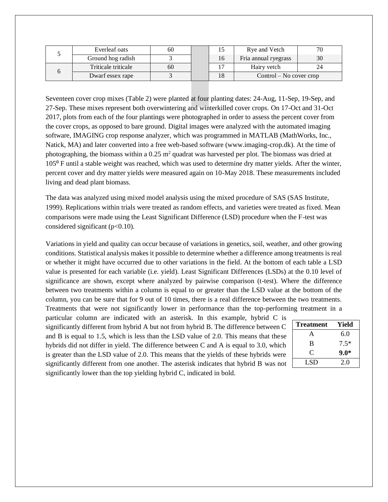| Everleaf oats       | 60 |    | Rye and Vetch             |  |
|---------------------|----|----|---------------------------|--|
| Ground hog radish   |    | 16 | Fria annual ryegrass      |  |
| Triticale triticale | 60 |    | Hairy vetch               |  |
| Dwarf essex rape    |    |    | $Control - No cover crop$ |  |

Seventeen cover crop mixes (Table 2) were planted at four planting dates: 24-Aug, 11-Sep, 19-Sep, and 27-Sep. These mixes represent both overwintering and winterkilled cover crops. On 17-Oct and 31-Oct 2017, plots from each of the four plantings were photographed in order to assess the percent cover from the cover crops, as opposed to bare ground. Digital images were analyzed with the automated imaging software, IMAGING crop response analyzer, which was programmed in MATLAB (MathWorks, Inc., Natick, MA) and later converted into a free web-based software [\(www.imaging-crop.dk\)](http://www.imaging-crop.dk/). At the time of photographing, the biomass within a  $0.25$  m<sup>2</sup> quadrat was harvested per plot. The biomass was dried at 105⁰ F until a stable weight was reached, which was used to determine dry matter yields. After the winter, percent cover and dry matter yields were measured again on 10-May 2018. These measurements included living and dead plant biomass.

The data was analyzed using mixed model analysis using the mixed procedure of SAS (SAS Institute, 1999). Replications within trials were treated as random effects, and varieties were treated as fixed. Mean comparisons were made using the Least Significant Difference (LSD) procedure when the F-test was considered significant  $(p<0.10)$ .

Variations in yield and quality can occur because of variations in genetics, soil, weather, and other growing conditions. Statistical analysis makes it possible to determine whether a difference among treatments is real or whether it might have occurred due to other variations in the field. At the bottom of each table a LSD value is presented for each variable (i.e. yield). Least Significant Differences (LSDs) at the 0.10 level of significance are shown, except where analyzed by pairwise comparison (t-test). Where the difference between two treatments within a column is equal to or greater than the LSD value at the bottom of the column, you can be sure that for 9 out of 10 times, there is a real difference between the two treatments. Treatments that were not significantly lower in performance than the top-performing treatment in a

particular column are indicated with an asterisk. In this example, hybrid C is significantly different from hybrid A but not from hybrid B. The difference between C and B is equal to 1.5, which is less than the LSD value of 2.0. This means that these hybrids did not differ in yield. The difference between C and A is equal to 3.0, which is greater than the LSD value of 2.0. This means that the yields of these hybrids were significantly different from one another. The asterisk indicates that hybrid B was not significantly lower than the top yielding hybrid C, indicated in bold.

| <b>Treatment</b> | Yield  |
|------------------|--------|
| A                | 6.0    |
| B                | $7.5*$ |
| C                | $9.0*$ |
| LSD              | 2.0    |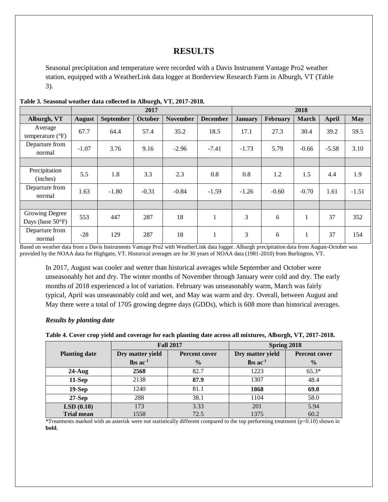# **RESULTS**

Seasonal precipitation and temperature were recorded with a Davis Instrument Vantage Pro2 weather station, equipped with a WeatherLink data logger at Borderview Research Farm in Alburgh, VT (Table 3).

|                                              | 2017    |                  |                |                 |                 |                |                 | 2018           |         |            |
|----------------------------------------------|---------|------------------|----------------|-----------------|-----------------|----------------|-----------------|----------------|---------|------------|
| Alburgh, VT                                  | August  | <b>September</b> | <b>October</b> | <b>November</b> | <b>December</b> | <b>January</b> | <b>February</b> | <b>March</b>   | April   | <b>May</b> |
| Average<br>temperature $(^{\circ}F)$         | 67.7    | 64.4             | 57.4           | 35.2            | 18.5            | 17.1           | 27.3            | 30.4           | 39.2    | 59.5       |
| Departure from<br>normal                     | $-1.07$ | 3.76             | 9.16           | $-2.96$         | $-7.41$         | $-1.73$        | 5.79            | $-0.66$        | $-5.58$ | 3.10       |
|                                              |         |                  |                |                 |                 |                |                 |                |         |            |
| Precipitation<br>(inches)                    | 5.5     | 1.8              | 3.3            | 2.3             | 0.8             | 0.8            | 1.2             | 1.5            | 4.4     | 1.9        |
| Departure from<br>normal                     | 1.63    | $-1.80$          | $-0.31$        | $-0.84$         | $-1.59$         | $-1.26$        | $-0.60$         | $-0.70$        | 1.61    | $-1.51$    |
|                                              |         |                  |                |                 |                 |                |                 |                |         |            |
| Growing Degree<br>Days (base $50^{\circ}$ F) | 553     | 447              | 287            | 18              | 1               | 3              | 6               |                | 37      | 352        |
| Departure from<br>normal                     | $-28$   | 129              | 287            | 18              | 1               | 3              | 6               | 1.<br>$\bf{r}$ | 37      | 154        |

## **Table 3. Seasonal weather data collected in Alburgh, VT, 2017-2018.**

Based on weather data from a Davis Instruments Vantage Pro2 with WeatherLink data logger. Alburgh precipitation data from August-October was provided by the NOAA data for Highgate, VT. Historical averages are for 30 years of NOAA data (1981-2010) from Burlington, VT.

In 2017, August was cooler and wetter than historical averages while September and October were unseasonably hot and dry. The winter months of November through January were cold and dry. The early months of 2018 experienced a lot of variation. February was unseasonably warm, March was fairly typical, April was unseasonably cold and wet, and May was warm and dry. Overall, between August and May there were a total of 1705 growing degree days (GDDs), which is 608 more than historical averages.

## *Results by planting date*

**Table 4. Cover crop yield and coverage for each planting date across all mixtures, Alburgh, VT, 2017-2018.** 

|                      |                                          | <b>Fall 2017</b> | Spring 2018                   |                      |  |  |
|----------------------|------------------------------------------|------------------|-------------------------------|----------------------|--|--|
| <b>Planting date</b> | Dry matter yield<br><b>Percent cover</b> |                  | Dry matter yield              | <b>Percent cover</b> |  |  |
|                      | $\text{lbs}$ ac <sup>1</sup>             | $\frac{0}{0}$    | $\text{lbs}$ ac <sup>-1</sup> | $\frac{0}{0}$        |  |  |
| $24$ -Aug            | 2568                                     | 82.7             | 1223                          | $65.3*$              |  |  |
| $11-Sep$             | 2138                                     | 87.9             | 1307                          | 48.4                 |  |  |
| $19-Sep$             | 1240                                     | 81.1             | 1868                          | 69.0                 |  |  |
| $27-Sep$             | 288                                      | 38.1             | 1104                          | 58.0                 |  |  |
| LSD(0.10)            | 173                                      | 3.33             | 201                           | 5.94                 |  |  |
| <b>Trial mean</b>    | 1558                                     | 72.5             | 1375                          | 60.2                 |  |  |

\*Treatments marked with an asterisk were not statistically different compared to the top performing treatment (p=0.10) shown in **bold.**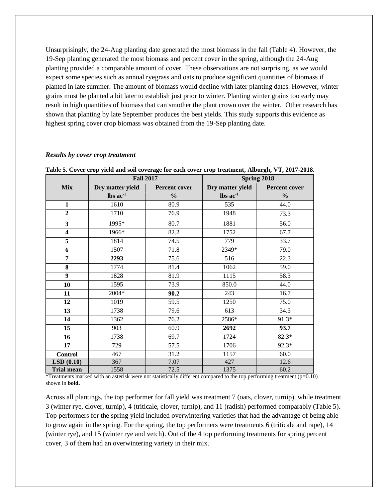Unsurprisingly, the 24-Aug planting date generated the most biomass in the fall (Table 4). However, the 19-Sep planting generated the most biomass and percent cover in the spring, although the 24-Aug planting provided a comparable amount of cover. These observations are not surprising, as we would expect some species such as annual ryegrass and oats to produce significant quantities of biomass if planted in late summer. The amount of biomass would decline with later planting dates. However, winter grains must be planted a bit later to establish just prior to winter. Planting winter grains too early may result in high quantities of biomass that can smother the plant crown over the winter. Other research has shown that planting by late September produces the best yields. This study supports this evidence as highest spring cover crop biomass was obtained from the 19-Sep planting date.

#### *Results by cover crop treatment*

|                         | <b>Fall 2017</b> |               |                  | Spring 2018    |  |  |  |
|-------------------------|------------------|---------------|------------------|----------------|--|--|--|
| Mix                     | Dry matter yield | Percent cover | Dry matter yield | Percent cover  |  |  |  |
|                         | lbs $ac^{-1}$    | $\frac{0}{0}$ | lbs $ac^{-1}$    | $\frac{6}{10}$ |  |  |  |
| $\mathbf{1}$            | 1610             | 80.9          | 535              | 44.0           |  |  |  |
| $\overline{2}$          | 1710             | 76.9          | 1948             | 73.3           |  |  |  |
| $\overline{\mathbf{3}}$ | $1995*$          | 80.7          | 1881             | 56.0           |  |  |  |
| $\overline{\mathbf{4}}$ | 1966*            | 82.2          | 1752             | 67.7           |  |  |  |
| 5                       | 1814             | 74.5          | 779              | 33.7           |  |  |  |
| 6                       | 1507             | 71.8          | 2349*            | 79.0           |  |  |  |
| 7                       | 2293             | 75.6          | 516              | 22.3           |  |  |  |
| 8                       | 1774             | 81.4          | 1062             | 59.0           |  |  |  |
| 9                       | 1828             | 81.9          | 1115             | 58.3           |  |  |  |
| 10                      | 1595             | 73.9          | 850.0            | 44.0           |  |  |  |
| 11                      | 2004*            | 90.2          | 243              | 16.7           |  |  |  |
| 12                      | 1019             | 59.5          | 1250             | 75.0           |  |  |  |
| 13                      | 1738             | 79.6          | 613              | 34.3           |  |  |  |
| 14                      | 1362             | 76.2          | 2586*            | 91.3*          |  |  |  |
| 15                      | 903              | 60.9          | 2692             | 93.7           |  |  |  |
| 16                      | 1738             | 69.7          | 1724             | $82.3*$        |  |  |  |
| 17                      | 729              | 57.5          | 1706             | 92.3*          |  |  |  |
| <b>Control</b>          | 467              | 31.2          | 1157             | 60.0           |  |  |  |
| LSD(0.10)               | 367              | 7.07          | 427              | 12.6           |  |  |  |
| <b>Trial mean</b>       | 1558             | 72.5          | 1375             | 60.2           |  |  |  |

**Table 5. Cover crop yield and soil coverage for each cover crop treatment, Alburgh, VT, 2017-2018.** 

\*Treatments marked with an asterisk were not statistically different compared to the top performing treatment  $(p=0.10)$ shown in **bold.**

Across all plantings, the top performer for fall yield was treatment 7 (oats, clover, turnip), while treatment 3 (winter rye, clover, turnip), 4 (triticale, clover, turnip), and 11 (radish) performed comparably (Table 5). Top performers for the spring yield included overwintering varieties that had the advantage of being able to grow again in the spring. For the spring, the top performers were treatments 6 (triticale and rape), 14 (winter rye), and 15 (winter rye and vetch). Out of the 4 top performing treatments for spring percent cover, 3 of them had an overwintering variety in their mix.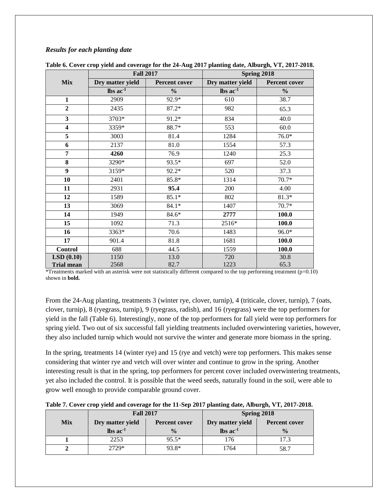# *Results for each planting date*

|                         | <b>Fall 2017</b>              |               | Spring 2018                  |               |  |  |
|-------------------------|-------------------------------|---------------|------------------------------|---------------|--|--|
| Mix                     | Dry matter yield              | Percent cover | Dry matter yield             | Percent cover |  |  |
|                         | $\text{lbs}$ ac <sup>-1</sup> | $\frac{0}{0}$ | $\text{lbs}$ ac <sup>1</sup> | $\frac{0}{0}$ |  |  |
| $\mathbf{1}$            | 2909                          | 92.9*         | 610                          | 38.7          |  |  |
| $\overline{2}$          | 2435                          | $87.2*$       | 982                          | 65.3          |  |  |
| $\overline{\mathbf{3}}$ | 3703*                         | $91.2*$       | 834                          | 40.0          |  |  |
| $\overline{\mathbf{4}}$ | 3359*                         | 88.7*         | 553                          | 60.0          |  |  |
| 5                       | 3003                          | 81.4          | 1284                         | $76.0*$       |  |  |
| 6                       | 2137                          | 81.0          | 1554                         | 57.3          |  |  |
| 7                       | 4260                          | 76.9          | 1240                         | 25.3          |  |  |
| 8                       | 3290*                         | $93.5*$       | 697                          | 52.0          |  |  |
| $\boldsymbol{9}$        | 3159*                         | $92.2*$       | 520                          | 37.3          |  |  |
| 10                      | 2401                          | 85.8*         | 1314                         | $70.7*$       |  |  |
| 11                      | 2931                          | 95.4          | 200                          | 4.00          |  |  |
| 12                      | 1589                          | $85.1*$       | 802                          | $81.3*$       |  |  |
| 13                      | 3069                          | $84.1*$       | 1407                         | $70.7*$       |  |  |
| 14                      | 1949                          | 84.6*         | 2777                         | 100.0         |  |  |
| 15                      | 1092                          | 71.3          | 2516*                        | 100.0         |  |  |
| 16                      | 3363*                         | 70.6          | 1483                         | 96.0*         |  |  |
| 17                      | 901.4                         | 81.8          | 1681                         | 100.0         |  |  |
| <b>Control</b>          | 688                           | 44.5          | 1559                         | 100.0         |  |  |
| LSD(0.10)               | 1150                          | 13.0          | 720                          | 30.8          |  |  |
| <b>Trial mean</b>       | 2568                          | 82.7          | 1223<br>65.3                 |               |  |  |

|  |  |  | Table 6. Cover crop yield and coverage for the 24-Aug 2017 planting date, Alburgh, VT, 2017-2018. |
|--|--|--|---------------------------------------------------------------------------------------------------|
|  |  |  |                                                                                                   |

\*Treatments marked with an asterisk were not statistically different compared to the top performing treatment ( $p=0.10$ ) shown in **bold.**

From the 24-Aug planting, treatments 3 (winter rye, clover, turnip), 4 (triticale, clover, turnip), 7 (oats, clover, turnip), 8 (ryegrass, turnip), 9 (ryegrass, radish), and 16 (ryegrass) were the top performers for yield in the fall (Table 6). Interestingly, none of the top performers for fall yield were top performers for spring yield. Two out of six successful fall yielding treatments included overwintering varieties, however, they also included turnip which would not survive the winter and generate more biomass in the spring.

In the spring, treatments 14 (winter rye) and 15 (rye and vetch) were top performers. This makes sense considering that winter rye and vetch will over winter and continue to grow in the spring. Another interesting result is that in the spring, top performers for percent cover included overwintering treatments, yet also included the control. It is possible that the weed seeds, naturally found in the soil, were able to grow well enough to provide comparable ground cover.

|  |  |  |  |  | Table 7. Cover crop yield and coverage for the 11-Sep 2017 planting date, Alburgh, VT, 2017-2018. |
|--|--|--|--|--|---------------------------------------------------------------------------------------------------|
|  |  |  |  |  |                                                                                                   |

|                                                         | <b>Fall 2017</b> |               | Spring 2018            |                      |  |  |
|---------------------------------------------------------|------------------|---------------|------------------------|----------------------|--|--|
| <b>Mix</b><br>Dry matter yield<br>$\ln$ ac <sup>1</sup> |                  | Percent cover | Dry matter yield       | <b>Percent cover</b> |  |  |
|                                                         |                  |               | $\ln$ ac <sup>-1</sup> | $\frac{0}{0}$        |  |  |
|                                                         | 2253             | $95.5*$       | 76                     | 17 3                 |  |  |
|                                                         | 2729*            | 93.8*         | 1764                   | 58.7                 |  |  |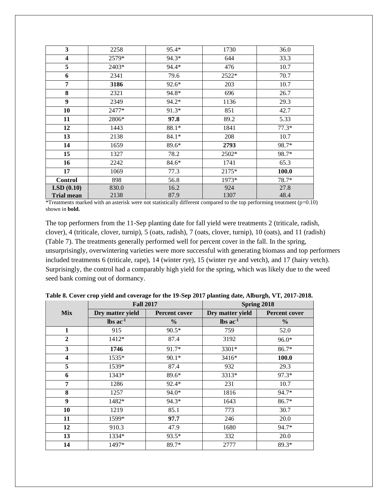| $\overline{\mathbf{3}}$ | 2258  | 95.4*   | 1730  | 36.0    |
|-------------------------|-------|---------|-------|---------|
| 4                       | 2579* | 94.3*   | 644   | 33.3    |
| 5                       | 2403* | 94.4*   | 476   | 10.7    |
| 6                       | 2341  | 79.6    | 2522* | 70.7    |
| 7                       | 3186  | 92.6*   | 203   | 10.7    |
| 8                       | 2321  | 94.8*   | 696   | 26.7    |
| 9                       | 2349  | 94.2*   | 1136  | 29.3    |
| 10                      | 2477* | $91.3*$ | 851   | 42.7    |
| 11                      | 2806* | 97.8    | 89.2  | 5.33    |
| 12                      | 1443  | 88.1*   | 1841  | $77.3*$ |
| 13                      | 2138  | $84.1*$ | 208   | 10.7    |
| 14                      | 1659  | $89.6*$ | 2793  | 98.7*   |
| 15                      | 1327  | 78.2    | 2502* | 98.7*   |
| 16                      | 2242  | 84.6*   | 1741  | 65.3    |
| 17                      | 1069  | 77.3    | 2175* | 100.0   |
| <b>Control</b>          | 898   | 56.8    | 1973* | 78.7*   |
| LSD(0.10)               | 830.0 | 16.2    | 924   | 27.8    |
| <b>Trial mean</b>       | 2138  | 87.9    | 1307  | 48.4    |

\*Treatments marked with an asterisk were not statistically different compared to the top performing treatment  $(p=0.10)$ shown in **bold.**

The top performers from the 11-Sep planting date for fall yield were treatments 2 (triticale, radish, clover), 4 (triticale, clover, turnip), 5 (oats, radish), 7 (oats, clover, turnip), 10 (oats), and 11 (radish) (Table 7). The treatments generally performed well for percent cover in the fall. In the spring, unsurprisingly, overwintering varieties were more successful with generating biomass and top performers included treatments 6 (triticale, rape), 14 (winter rye), 15 (winter rye and vetch), and 17 (hairy vetch). Surprisingly, the control had a comparably high yield for the spring, which was likely due to the weed seed bank coming out of dormancy.

|                  | <b>Fall 2017</b>              |               | Spring 2018                   |               |
|------------------|-------------------------------|---------------|-------------------------------|---------------|
| <b>Mix</b>       | Dry matter yield              | Percent cover | Dry matter yield              | Percent cover |
|                  | $\text{lbs}$ ac <sup>-1</sup> | $\frac{0}{0}$ | $\text{lbs}$ ac <sup>-1</sup> | $\frac{0}{0}$ |
| $\mathbf{1}$     | 915                           | $90.5*$       | 759                           | 52.0          |
| $\boldsymbol{2}$ | 1412*                         | 87.4          | 3192                          | 96.0*         |
| 3                | 1746                          | 91.7*         | 3301*                         | $86.7*$       |
| 4                | $1535*$                       | $90.1*$       | 3416*                         | 100.0         |
| 5                | 1539*                         | 87.4          | 932                           | 29.3          |
| 6                | 1343*                         | 89.6*         | 3313*                         | $97.3*$       |
| 7                | 1286                          | 92.4*         | 231                           | 10.7          |
| 8                | 1257                          | $94.0*$       | 1816                          | 94.7*         |
| 9                | 1482*                         | 94.3*         | 1643                          | $86.7*$       |
| 10               | 1219                          | 85.1          | 773                           | 30.7          |
| 11               | 1599*                         | 97.7          | 246                           | 20.0          |
| 12               | 910.3                         | 47.9          | 1680                          | 94.7*         |
| 13               | 1334*                         | 93.5*         | 332                           | 20.0          |
| 14               | 1497*                         | 89.7*         | 2777                          | 89.3*         |

**Table 8. Cover crop yield and coverage for the 19-Sep 2017 planting date, Alburgh, VT, 2017-2018.**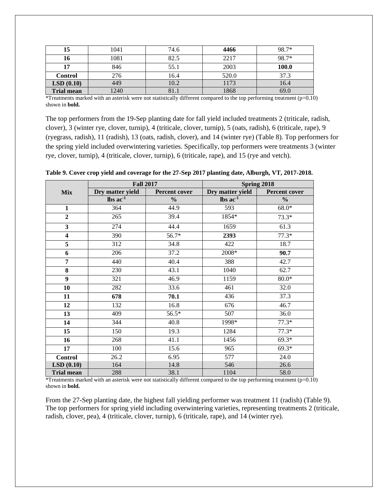| 15                | 1041 | 74.6 | 4466  | 98.7* |
|-------------------|------|------|-------|-------|
| 16                | 1081 | 82.5 | 2217  | 98.7* |
| 17                | 846  | 55.1 | 2003  | 100.0 |
| Control           | 276  | 16.4 | 520.0 | 37.3  |
| LSD(0.10)         | 449  | 10.2 | 1173  | 16.4  |
| <b>Trial mean</b> | 1240 |      | 1868  | 69.0  |

\*Treatments marked with an asterisk were not statistically different compared to the top performing treatment  $(p=0.10)$ shown in **bold.**

The top performers from the 19-Sep planting date for fall yield included treatments 2 (triticale, radish, clover), 3 (winter rye, clover, turnip), 4 (triticale, clover, turnip), 5 (oats, radish), 6 (triticale, rape), 9 (ryegrass, radish), 11 (radish), 13 (oats, radish, clover), and 14 (winter rye) (Table 8). Top performers for the spring yield included overwintering varieties. Specifically, top performers were treatments 3 (winter rye, clover, turnip), 4 (triticale, clover, turnip), 6 (triticale, rape), and 15 (rye and vetch).

|                         | <b>Fall 2017</b>        |                      | Spring 2018             |               |
|-------------------------|-------------------------|----------------------|-------------------------|---------------|
| <b>Mix</b>              | Dry matter yield        | <b>Percent cover</b> | Dry matter yield        | Percent cover |
|                         | $\text{lbs}$ ac $^{-1}$ | $\%$                 | lbs $ac^{\overline{1}}$ | $\frac{6}{6}$ |
| $\mathbf{1}$            | 364                     | 44.9                 | 593                     | $68.0*$       |
| $\overline{2}$          | 265                     | 39.4                 | 1854*                   | $73.3*$       |
| $\overline{\mathbf{3}}$ | 274                     | 44.4                 | 1659                    | 61.3          |
| $\overline{\mathbf{4}}$ | 390                     | 56.7*                | 2393                    | $77.3*$       |
| 5                       | 312                     | 34.8                 | 422                     | 18.7          |
| 6                       | 206                     | 37.2                 | 2008*                   | 90.7          |
| $\overline{7}$          | 440                     | 40.4                 | 388                     | 42.7          |
| 8                       | 230                     | 43.1                 | 1040                    | 62.7          |
| $\overline{9}$          | 321                     | 46.9                 | 1159                    | $80.0*$       |
| 10                      | 282                     | 33.6                 | 461                     | 32.0          |
| 11                      | 678                     | 70.1                 | 436                     | 37.3          |
| 12                      | 132                     | 16.8                 | 676                     | 46.7          |
| 13                      | 409                     | 56.5*                | 507                     | 36.0          |
| 14                      | 344                     | 40.8                 | 1998*                   | $77.3*$       |
| 15                      | 150                     | 19.3                 | 1284                    | $77.3*$       |
| 16                      | 268                     | 41.1                 | 1456                    | $69.3*$       |
| 17                      | 100                     | 15.6                 | 965                     | $69.3*$       |
| <b>Control</b>          | 26.2                    | 6.95                 | 577                     | 24.0          |
| LSD(0.10)               | 164                     | 14.8                 | 546                     | 26.6          |
| <b>Trial mean</b>       | 288                     | 38.1                 | 1104                    | 58.0          |

**Table 9. Cover crop yield and coverage for the 27-Sep 2017 planting date, Alburgh, VT, 2017-2018.** 

\*Treatments marked with an asterisk were not statistically different compared to the top performing treatment (p=0.10) shown in **bold.**

From the 27-Sep planting date, the highest fall yielding performer was treatment 11 (radish) (Table 9). The top performers for spring yield including overwintering varieties, representing treatments 2 (triticale, radish, clover, pea), 4 (triticale, clover, turnip), 6 (triticale, rape), and 14 (winter rye).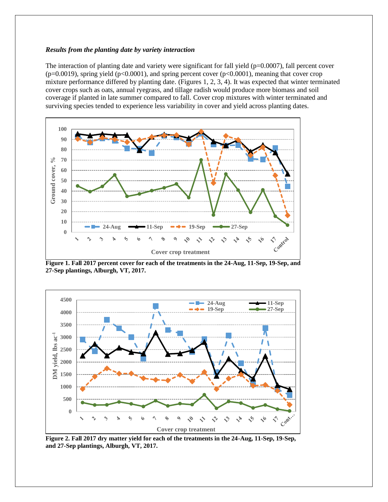#### *Results from the planting date by variety interaction*

The interaction of planting date and variety were significant for fall yield ( $p=0.0007$ ), fall percent cover ( $p=0.0019$ ), spring yield ( $p<0.0001$ ), and spring percent cover ( $p<0.0001$ ), meaning that cover crop mixture performance differed by planting date. (Figures 1, 2, 3, 4). It was expected that winter terminated cover crops such as oats, annual ryegrass, and tillage radish would produce more biomass and soil coverage if planted in late summer compared to fall. Cover crop mixtures with winter terminated and surviving species tended to experience less variability in cover and yield across planting dates.



**Figure 1. Fall 2017 percent cover for each of the treatments in the 24-Aug, 11-Sep, 19-Sep, and 27-Sep plantings, Alburgh, VT, 2017.** 



**Figure 2. Fall 2017 dry matter yield for each of the treatments in the 24-Aug, 11-Sep, 19-Sep, and 27-Sep plantings, Alburgh, VT, 2017.**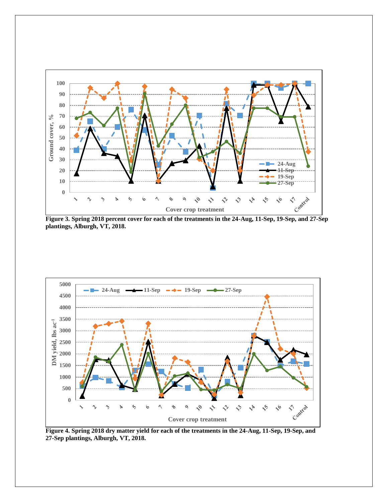

**Figure 3. Spring 2018 percent cover for each of the treatments in the 24-Aug, 11-Sep, 19-Sep, and 27-Sep plantings, Alburgh, VT, 2018.** 



**Figure 4. Spring 2018 dry matter yield for each of the treatments in the 24-Aug, 11-Sep, 19-Sep, and 27-Sep plantings, Alburgh, VT, 2018.**